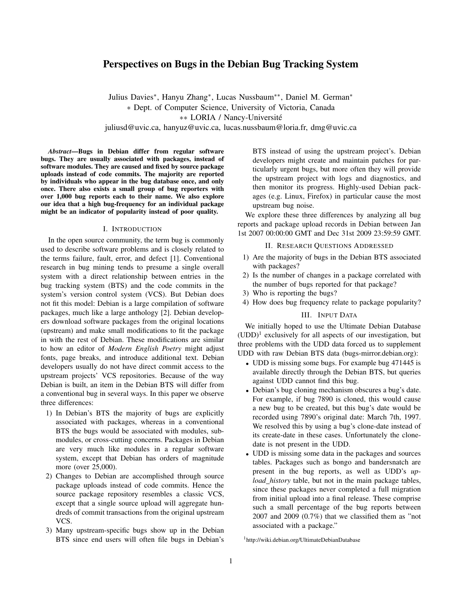# Perspectives on Bugs in the Debian Bug Tracking System

Julius Davies<sup>∗</sup> , Hanyu Zhang<sup>∗</sup> , Lucas Nussbaum∗∗, Daniel M. German<sup>∗</sup> ∗ Dept. of Computer Science, University of Victoria, Canada ∗∗ LORIA / Nancy-Universite´

juliusd@uvic.ca, hanyuz@uvic.ca, lucas.nussbaum@loria.fr, dmg@uvic.ca

*Abstract*—Bugs in Debian differ from regular software bugs. They are usually associated with packages, instead of software modules. They are caused and fixed by source package uploads instead of code commits. The majority are reported by individuals who appear in the bug database once, and only once. There also exists a small group of bug reporters with over 1,000 bug reports each to their name. We also explore our idea that a high bug-frequency for an individual package might be an indicator of popularity instead of poor quality.

### I. INTRODUCTION

In the open source community, the term bug is commonly used to describe software problems and is closely related to the terms failure, fault, error, and defect [1]. Conventional research in bug mining tends to presume a single overall system with a direct relationship between entries in the bug tracking system (BTS) and the code commits in the system's version control system (VCS). But Debian does not fit this model: Debian is a large compilation of software packages, much like a large anthology [2]. Debian developers download software packages from the original locations (upstream) and make small modifications to fit the package in with the rest of Debian. These modifications are similar to how an editor of *Modern English Poetry* might adjust fonts, page breaks, and introduce additional text. Debian developers usually do not have direct commit access to the upstream projects' VCS repositories. Because of the way Debian is built, an item in the Debian BTS will differ from a conventional bug in several ways. In this paper we observe three differences:

- 1) In Debian's BTS the majority of bugs are explicitly associated with packages, whereas in a conventional BTS the bugs would be associated with modules, submodules, or cross-cutting concerns. Packages in Debian are very much like modules in a regular software system, except that Debian has orders of magnitude more (over 25,000).
- 2) Changes to Debian are accomplished through source package uploads instead of code commits. Hence the source package repository resembles a classic VCS, except that a single source upload will aggregate hundreds of commit transactions from the original upstream VCS.
- 3) Many upstream-specific bugs show up in the Debian BTS since end users will often file bugs in Debian's

BTS instead of using the upstream project's. Debian developers might create and maintain patches for particularly urgent bugs, but more often they will provide the upstream project with logs and diagnostics, and then monitor its progress. Highly-used Debian packages (e.g. Linux, Firefox) in particular cause the most upstream bug noise.

We explore these three differences by analyzing all bug reports and package upload records in Debian between Jan 1st 2007 00:00:00 GMT and Dec 31st 2009 23:59:59 GMT.

### II. RESEARCH QUESTIONS ADDRESSED

- 1) Are the majority of bugs in the Debian BTS associated with packages?
- 2) Is the number of changes in a package correlated with the number of bugs reported for that package?
- 3) Who is reporting the bugs?
- 4) How does bug frequency relate to package popularity?

### III. INPUT DATA

We initially hoped to use the Ultimate Debian Database  $(UDD)^1$  exclusively for all aspects of our investigation, but three problems with the UDD data forced us to supplement UDD with raw Debian BTS data (bugs-mirror.debian.org):

- UDD is missing some bugs. For example bug 471445 is available directly through the Debian BTS, but queries against UDD cannot find this bug.
- Debian's bug cloning mechanism obscures a bug's date. For example, if bug 7890 is cloned, this would cause a new bug to be created, but this bug's date would be recorded using 7890's original date: March 7th, 1997. We resolved this by using a bug's clone-date instead of its create-date in these cases. Unfortunately the clonedate is not present in the UDD.
- UDD is missing some data in the packages and sources tables. Packages such as bongo and bandersnatch are present in the bug reports, as well as UDD's *upload history* table, but not in the main package tables, since these packages never completed a full migration from initial upload into a final release. These comprise such a small percentage of the bug reports between 2007 and 2009 (0.7%) that we classified them as "not associated with a package."

<sup>1</sup>http://wiki.debian.org/UltimateDebianDatabase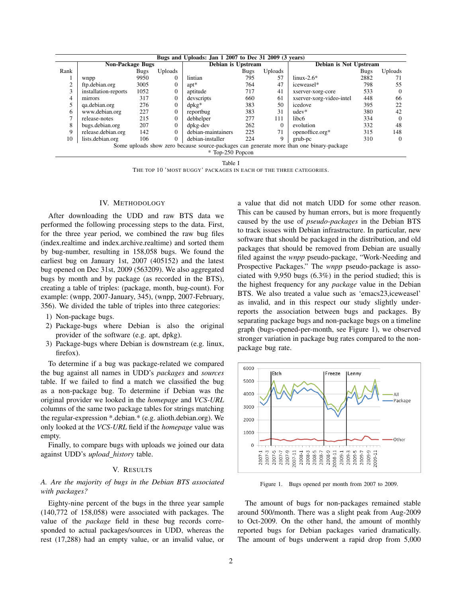| Bugs and Uploads: Jan 1 2007 to Dec 31 2009 (3 years)                                    |                         |             |              |                    |             |          |                          |             |          |
|------------------------------------------------------------------------------------------|-------------------------|-------------|--------------|--------------------|-------------|----------|--------------------------|-------------|----------|
|                                                                                          | <b>Non-Package Bugs</b> |             |              | Debian is Upstream |             |          | Debian is Not Upstream   |             |          |
| Rank                                                                                     |                         | <b>Bugs</b> | Uploads      |                    | <b>Bugs</b> | Uploads  |                          | <b>Bugs</b> | Uploads  |
|                                                                                          | wnpp                    | 9950        | $\Omega$     | lintian            | 795         | 57       | $linux-2.6*$             | 2882        | 71       |
| 2                                                                                        | ftp.debian.org          | 3005        | $\Omega$     | $apt*$             | 764         | 47       | iceweasel*               | 798         | 55       |
| 3                                                                                        | installation-reports    | 1052        | $\Omega$     | aptitude           | 717         | 41       | xserver-xorg-core        | 533         | $\Omega$ |
| 4                                                                                        | mirrors                 | 317         | $\mathbf{0}$ | devscripts         | 660         | 61       | xserver-xorg-video-intel | 448         | 66       |
|                                                                                          | qa.debian.org           | 276         | $\Omega$     | $d$ p $kg*$        | 383         | 50       | icedove                  | 395         | 22       |
| 6                                                                                        | www.debian.org          | 227         | $\Omega$     | reportbug          | 383         | 31       | $udev*$                  | 380         | 42       |
| ⇁                                                                                        | release-notes           | 215         | $\Omega$     | debhelper          | 277         | 111      | libc <sub>6</sub>        | 334         | $\Omega$ |
| 8                                                                                        | bugs.debian.org         | 207         | $\Omega$     | dpkg-dev           | 262         | $\Omega$ | evolution                | 332         | 48       |
| 9                                                                                        | release.debian.org      | 142         | $\Omega$     | debian-maintainers | 225         | 71       | openoffice.org*          | 315         | 148      |
| 10                                                                                       | lists.debian.org        | 106         | 0            | debian-installer   | 224         | 9        | grub-pc                  | 310         | $\theta$ |
| Some uploads show zero because source-packages can generate more than one binary-package |                         |             |              |                    |             |          |                          |             |          |
| * Top-250 Popcon                                                                         |                         |             |              |                    |             |          |                          |             |          |

Table I

THE TOP 10 'MOST BUGGY' PACKAGES IN EACH OF THE THREE CATEGORIES.

### IV. METHODOLOGY

After downloading the UDD and raw BTS data we performed the following processing steps to the data. First, for the three year period, we combined the raw bug files (index.realtime and index.archive.realtime) and sorted them by bug-number, resulting in 158,058 bugs. We found the earliest bug on January 1st, 2007 (405152) and the latest bug opened on Dec 31st, 2009 (563209). We also aggregated bugs by month and by package (as recorded in the BTS), creating a table of triples: (package, month, bug-count). For example: (wnpp, 2007-January, 345), (wnpp, 2007-February, 356). We divided the table of triples into three categories:

- 1) Non-package bugs.
- 2) Package-bugs where Debian is also the original provider of the software (e.g. apt, dpkg).
- 3) Package-bugs where Debian is downstream (e.g. linux, firefox).

To determine if a bug was package-related we compared the bug against all names in UDD's *packages* and *sources* table. If we failed to find a match we classified the bug as a non-package bug. To determine if Debian was the original provider we looked in the *homepage* and *VCS-URL* columns of the same two package tables for strings matching the regular-expression \*.debian.\* (e.g. alioth.debian.org). We only looked at the *VCS-URL* field if the *homepage* value was empty.

Finally, to compare bugs with uploads we joined our data against UDD's *upload history* table.

#### V. RESULTS

*A. Are the majority of bugs in the Debian BTS associated with packages?*

Eighty-nine percent of the bugs in the three year sample (140,772 of 158,058) were associated with packages. The value of the *package* field in these bug records corresponded to actual packages/sources in UDD, whereas the rest (17,288) had an empty value, or an invalid value, or a value that did not match UDD for some other reason. This can be caused by human errors, but is more frequently caused by the use of *pseudo-packages* in the Debian BTS to track issues with Debian infrastructure. In particular, new software that should be packaged in the distribution, and old packages that should be removed from Debian are usually filed against the *wnpp* pseudo-package, "Work-Needing and Prospective Packages." The *wnpp* pseudo-package is associated with 9,950 bugs (6.3%) in the period studied; this is the highest frequency for any *package* value in the Debian BTS. We also treated a value such as 'emacs23,iceweasel' as invalid, and in this respect our study slightly underreports the association between bugs and packages. By separating package bugs and non-package bugs on a timeline graph (bugs-opened-per-month, see Figure 1), we observed stronger variation in package bug rates compared to the nonpackage bug rate.



Figure 1. Bugs opened per month from 2007 to 2009.

The amount of bugs for non-packages remained stable around 500/month. There was a slight peak from Aug-2009 to Oct-2009. On the other hand, the amount of monthly reported bugs for Debian packages varied dramatically. The amount of bugs underwent a rapid drop from 5,000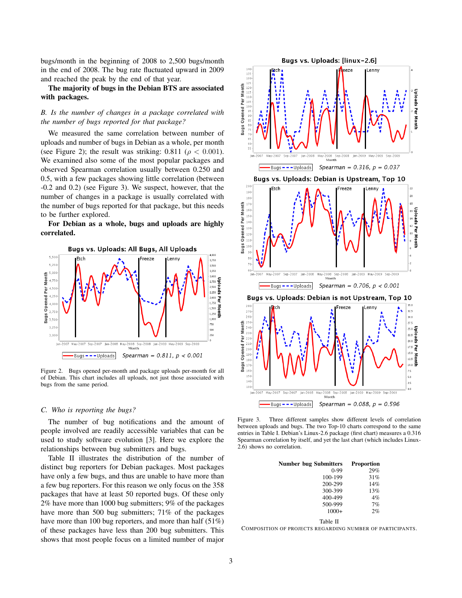bugs/month in the beginning of 2008 to 2,500 bugs/month in the end of 2008. The bug rate fluctuated upward in 2009 and reached the peak by the end of that year.

## The majority of bugs in the Debian BTS are associated with packages.

### *B. Is the number of changes in a package correlated with the number of bugs reported for that package?*

We measured the same correlation between number of uploads and number of bugs in Debian as a whole, per month (see Figure 2); the result was striking: 0.811 ( $\rho < 0.001$ ). We examined also some of the most popular packages and observed Spearman correlation usually between 0.250 and 0.5, with a few packages showing little correlation (between -0.2 and 0.2) (see Figure 3). We suspect, however, that the number of changes in a package is usually correlated with the number of bugs reported for that package, but this needs to be further explored.

For Debian as a whole, bugs and uploads are highly correlated.



Figure 2. Bugs opened per-month and package uploads per-month for all of Debian. This chart includes all uploads, not just those associated with bugs from the same period.

### *C. Who is reporting the bugs?*

The number of bug notifications and the amount of people involved are readily accessible variables that can be used to study software evolution [3]. Here we explore the relationships between bug submitters and bugs.

Table II illustrates the distribution of the number of distinct bug reporters for Debian packages. Most packages have only a few bugs, and thus are unable to have more than a few bug reporters. For this reason we only focus on the 358 packages that have at least 50 reported bugs. Of these only 2% have more than 1000 bug submitters; 9% of the packages have more than 500 bug submitters; 71% of the packages have more than 100 bug reporters, and more than half (51%) of these packages have less than 200 bug submitters. This shows that most people focus on a limited number of major



Figure 3. Three different samples show different levels of correlation between uploads and bugs. The two Top-10 charts correspond to the same entries in Table I. Debian's Linux-2.6 package (first chart) measures a 0.316 Spearman correlation by itself, and yet the last chart (which includes Linux-2.6) shows no correlation.

| Number bug Submitters | <b>Proportion</b> |
|-----------------------|-------------------|
| $0-99$                | 29%               |
| 100-199               | 31%               |
| 200-299               | 14%               |
| 300-399               | 13%               |
| 400-499               | 4%                |
| 500-999               | 7%                |
| $1000+$               | 2%                |

Table II

COMPOSITION OF PROJECTS REGARDING NUMBER OF PARTICIPANTS.